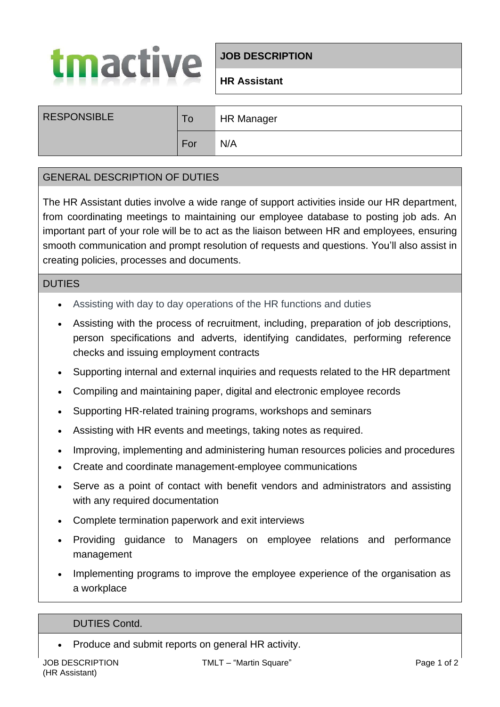

# **JOB DESCRIPTION**

## **HR Assistant**

| <b>RESPONSIBLE</b> | To  | <b>HR Manager</b> |
|--------------------|-----|-------------------|
|                    | For | N/A               |

## GENERAL DESCRIPTION OF DUTIES

The HR Assistant duties involve a wide range of support activities inside our HR department, from coordinating meetings to maintaining our employee database to posting job ads. An important part of your role will be to act as the liaison between HR and employees, ensuring smooth communication and prompt resolution of requests and questions. You'll also assist in creating policies, processes and documents.

#### DUTIES

- Assisting with day to day operations of the HR functions and duties
- Assisting with the process of recruitment, including, preparation of job descriptions, person specifications and adverts, identifying candidates, performing reference checks and issuing employment contracts
- Supporting internal and external inquiries and requests related to the HR department
- Compiling and maintaining paper, digital and electronic employee records
- Supporting HR-related training programs, workshops and seminars
- Assisting with HR events and meetings, taking notes as required.
- Improving, implementing and administering human resources policies and procedures
- Create and coordinate management-employee communications
- Serve as a point of contact with benefit vendors and administrators and assisting with any required documentation
- Complete termination paperwork and exit interviews
- Providing guidance to Managers on employee relations and performance management
- Implementing programs to improve the employee experience of the organisation as a workplace

### DUTIES Contd.

• Produce and submit reports on general HR activity.